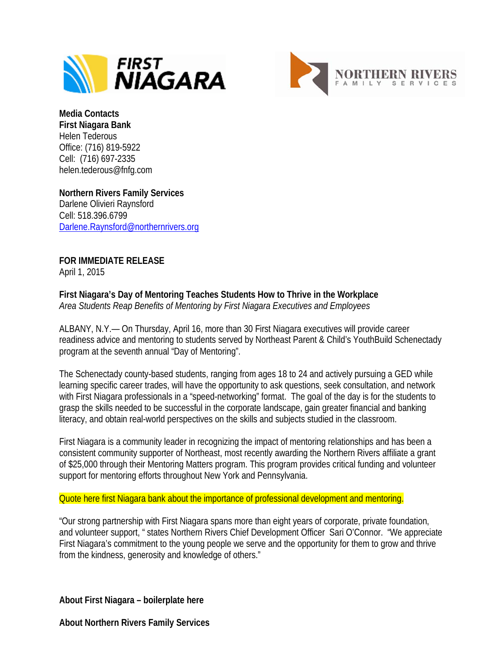



**Media Contacts First Niagara Bank** Helen Tederous Office: (716) 819-5922 Cell: (716) 697-2335 helen.tederous@fnfg.com

**Northern Rivers Family Services** Darlene Olivieri Raynsford Cell: 518.396.6799 [Darlene.Raynsford@northernrivers.org](mailto:Darlene.Raynsford@northernrivers.org)

**FOR IMMEDIATE RELEASE** April 1, 2015

**First Niagara's Day of Mentoring Teaches Students How to Thrive in the Workplace** *Area Students Reap Benefits of Mentoring by First Niagara Executives and Employees*

ALBANY, N.Y.— On Thursday, April 16, more than 30 First Niagara executives will provide career readiness advice and mentoring to students served by Northeast Parent & Child's YouthBuild Schenectady program at the seventh annual "Day of Mentoring".

The Schenectady county-based students, ranging from ages 18 to 24 and actively pursuing a GED while learning specific career trades, will have the opportunity to ask questions, seek consultation, and network with First Niagara professionals in a "speed-networking" format. The goal of the day is for the students to grasp the skills needed to be successful in the corporate landscape, gain greater financial and banking literacy, and obtain real-world perspectives on the skills and subjects studied in the classroom.

First Niagara is a community leader in recognizing the impact of mentoring relationships and has been a consistent community supporter of Northeast, most recently awarding the Northern Rivers affiliate a grant of \$25,000 through their Mentoring Matters program. This program provides critical funding and volunteer support for mentoring efforts throughout New York and Pennsylvania.

Quote here first Niagara bank about the importance of professional development and mentoring.

"Our strong partnership with First Niagara spans more than eight years of corporate, private foundation, and volunteer support, " states Northern Rivers Chief Development Officer Sari O'Connor. "We appreciate First Niagara's commitment to the young people we serve and the opportunity for them to grow and thrive from the kindness, generosity and knowledge of others."

**About First Niagara – boilerplate here**

**About Northern Rivers Family Services**